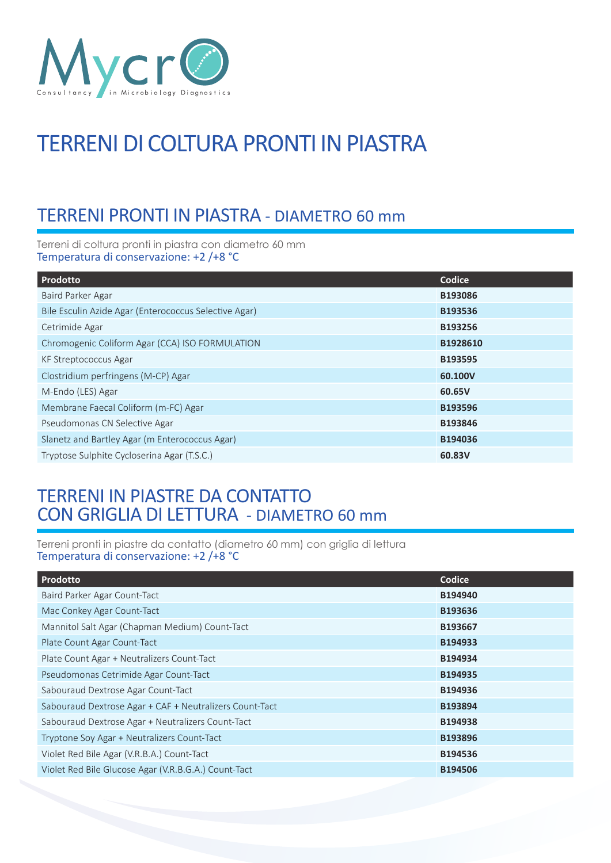

# TERRENI DI COLTURA PRONTI IN PIASTRA

## TERRENI PRONTI IN PIASTRA - DIAMETRO 60 mm

Terreni di coltura pronti in piastra con diametro 60 mm Temperatura di conservazione: +2 /+8 °C

| Prodotto                                              | Codice   |
|-------------------------------------------------------|----------|
| Baird Parker Agar                                     | B193086  |
| Bile Esculin Azide Agar (Enterococcus Selective Agar) | B193536  |
| Cetrimide Agar                                        | B193256  |
| Chromogenic Coliform Agar (CCA) ISO FORMULATION       | B1928610 |
| KF Streptococcus Agar                                 | B193595  |
| Clostridium perfringens (M-CP) Agar                   | 60.100V  |
| M-Endo (LES) Agar                                     | 60.65V   |
| Membrane Faecal Coliform (m-FC) Agar                  | B193596  |
| Pseudomonas CN Selective Agar                         | B193846  |
| Slanetz and Bartley Agar (m Enterococcus Agar)        | B194036  |
| Tryptose Sulphite Cycloserina Agar (T.S.C.)           | 60.83V   |

### TERRENI IN PIASTRE DA CONTATTO CON GRIGLIA DI LETTURA - DIAMETRO 60 mm

Terreni pronti in piastre da contatto (diametro 60 mm) con griglia di lettura Temperatura di conservazione: +2 /+8 °C

| Prodotto                                                | Codice         |
|---------------------------------------------------------|----------------|
| Baird Parker Agar Count-Tact                            | B194940        |
| Mac Conkey Agar Count-Tact                              | B193636        |
| Mannitol Salt Agar (Chapman Medium) Count-Tact          | B193667        |
| Plate Count Agar Count-Tact                             | B194933        |
| Plate Count Agar + Neutralizers Count-Tact              | B194934        |
| Pseudomonas Cetrimide Agar Count-Tact                   | B194935        |
| Sabouraud Dextrose Agar Count-Tact                      | B194936        |
| Sabouraud Dextrose Agar + CAF + Neutralizers Count-Tact | B193894        |
| Sabouraud Dextrose Agar + Neutralizers Count-Tact       | B194938        |
| Tryptone Soy Agar + Neutralizers Count-Tact             | B193896        |
| Violet Red Bile Agar (V.R.B.A.) Count-Tact              | B194536        |
| Violet Red Bile Glucose Agar (V.R.B.G.A.) Count-Tact    | <b>B194506</b> |